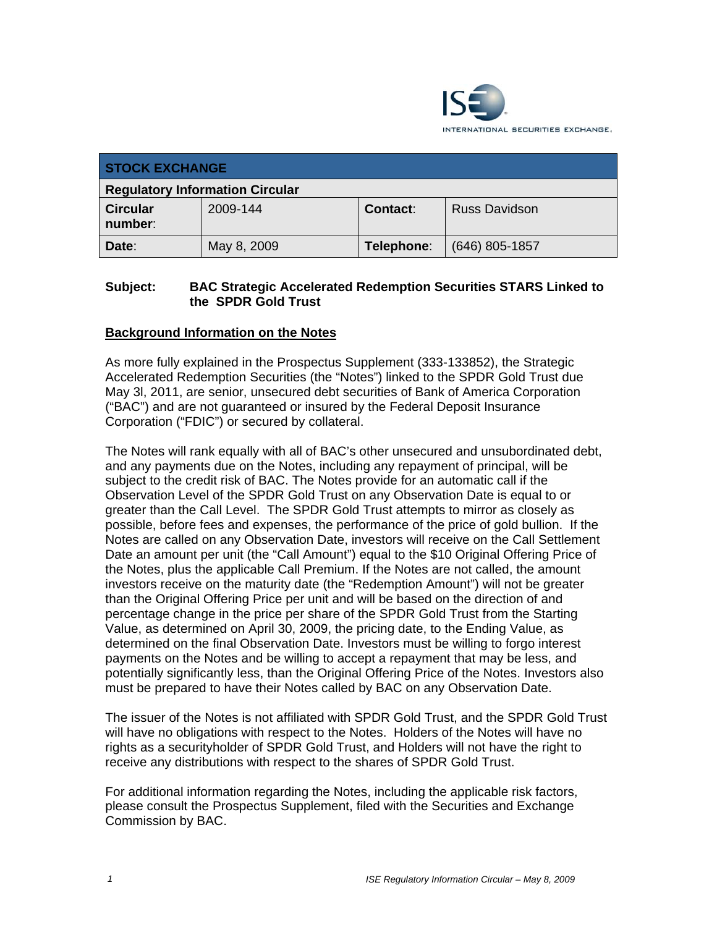

| <b>STOCK EXCHANGE</b>                  |             |            |                      |
|----------------------------------------|-------------|------------|----------------------|
| <b>Regulatory Information Circular</b> |             |            |                      |
| <b>Circular</b><br>number:             | 2009-144    | Contact:   | <b>Russ Davidson</b> |
| Date:                                  | May 8, 2009 | Telephone: | $(646)$ 805-1857     |

# **Subject: BAC Strategic Accelerated Redemption Securities STARS Linked to the SPDR Gold Trust**

# **Background Information on the Notes**

As more fully explained in the Prospectus Supplement (333-133852), the Strategic Accelerated Redemption Securities (the "Notes") linked to the SPDR Gold Trust due May 3l, 2011, are senior, unsecured debt securities of Bank of America Corporation ("BAC") and are not guaranteed or insured by the Federal Deposit Insurance Corporation ("FDIC") or secured by collateral.

The Notes will rank equally with all of BAC's other unsecured and unsubordinated debt, and any payments due on the Notes, including any repayment of principal, will be subject to the credit risk of BAC. The Notes provide for an automatic call if the Observation Level of the SPDR Gold Trust on any Observation Date is equal to or greater than the Call Level. The SPDR Gold Trust attempts to mirror as closely as possible, before fees and expenses, the performance of the price of gold bullion. If the Notes are called on any Observation Date, investors will receive on the Call Settlement Date an amount per unit (the "Call Amount") equal to the \$10 Original Offering Price of the Notes, plus the applicable Call Premium. If the Notes are not called, the amount investors receive on the maturity date (the "Redemption Amount") will not be greater than the Original Offering Price per unit and will be based on the direction of and percentage change in the price per share of the SPDR Gold Trust from the Starting Value, as determined on April 30, 2009, the pricing date, to the Ending Value, as determined on the final Observation Date. Investors must be willing to forgo interest payments on the Notes and be willing to accept a repayment that may be less, and potentially significantly less, than the Original Offering Price of the Notes. Investors also must be prepared to have their Notes called by BAC on any Observation Date.

The issuer of the Notes is not affiliated with SPDR Gold Trust, and the SPDR Gold Trust will have no obligations with respect to the Notes. Holders of the Notes will have no rights as a securityholder of SPDR Gold Trust, and Holders will not have the right to receive any distributions with respect to the shares of SPDR Gold Trust.

For additional information regarding the Notes, including the applicable risk factors, please consult the Prospectus Supplement, filed with the Securities and Exchange Commission by BAC.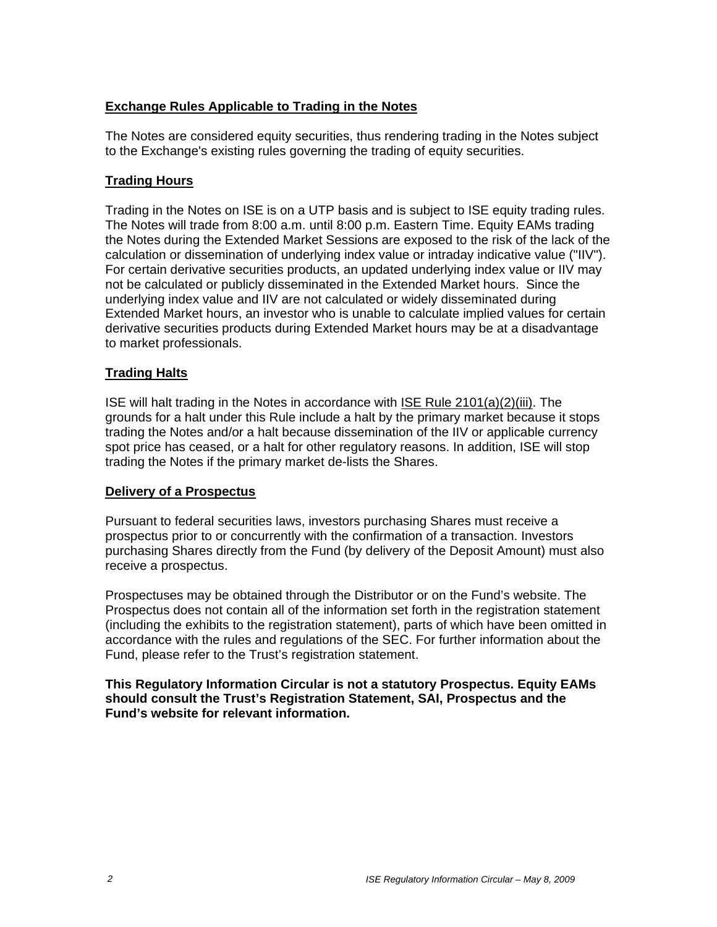# **Exchange Rules Applicable to Trading in the Notes**

The Notes are considered equity securities, thus rendering trading in the Notes subject to the Exchange's existing rules governing the trading of equity securities.

# **Trading Hours**

Trading in the Notes on ISE is on a UTP basis and is subject to ISE equity trading rules. The Notes will trade from 8:00 a.m. until 8:00 p.m. Eastern Time. Equity EAMs trading the Notes during the Extended Market Sessions are exposed to the risk of the lack of the calculation or dissemination of underlying index value or intraday indicative value ("IIV"). For certain derivative securities products, an updated underlying index value or IIV may not be calculated or publicly disseminated in the Extended Market hours. Since the underlying index value and IIV are not calculated or widely disseminated during Extended Market hours, an investor who is unable to calculate implied values for certain derivative securities products during Extended Market hours may be at a disadvantage to market professionals.

### **Trading Halts**

ISE will halt trading in the Notes in accordance with ISE Rule 2101(a)(2)(iii). The grounds for a halt under this Rule include a halt by the primary market because it stops trading the Notes and/or a halt because dissemination of the IIV or applicable currency spot price has ceased, or a halt for other regulatory reasons. In addition, ISE will stop trading the Notes if the primary market de-lists the Shares.

#### **Delivery of a Prospectus**

Pursuant to federal securities laws, investors purchasing Shares must receive a prospectus prior to or concurrently with the confirmation of a transaction. Investors purchasing Shares directly from the Fund (by delivery of the Deposit Amount) must also receive a prospectus.

Prospectuses may be obtained through the Distributor or on the Fund's website. The Prospectus does not contain all of the information set forth in the registration statement (including the exhibits to the registration statement), parts of which have been omitted in accordance with the rules and regulations of the SEC. For further information about the Fund, please refer to the Trust's registration statement.

**This Regulatory Information Circular is not a statutory Prospectus. Equity EAMs should consult the Trust's Registration Statement, SAI, Prospectus and the Fund's website for relevant information.**